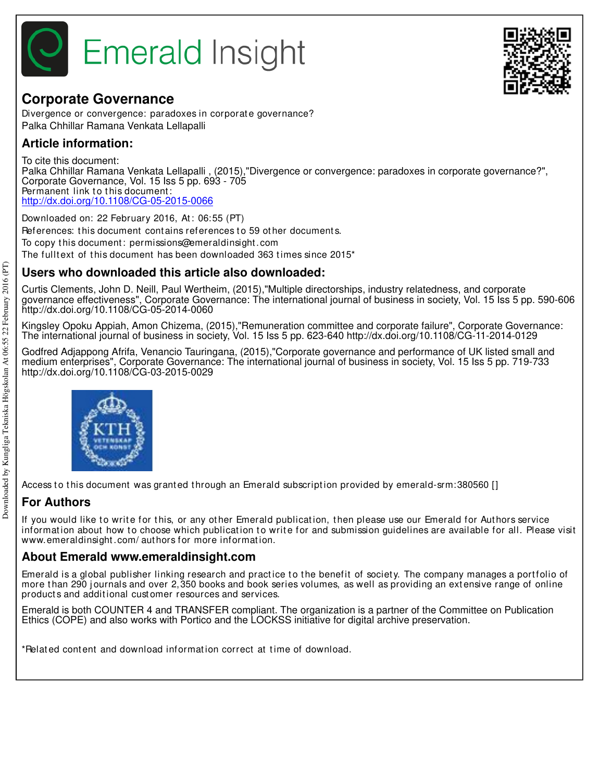

# **Corporate Governance**



## **Article information:**

To cite this document: Palka Chhillar Ramana Venkata Lellapalli , (2015),"Divergence or convergence: paradoxes in corporate governance?", Corporate Governance, Vol. 15 Iss 5 pp. 693 - 705 Permanent link to this document: http://dx.doi.org/10.1108/CG-05-2015-0066

Downloaded on: 22 February 2016, At : 06:55 (PT) References: this document contains references to 59 other documents. To copy t his document : permissions@emeraldinsight .com The fulltext of this document has been downloaded 363 times since 2015\*

## **Users who downloaded this article also downloaded:**

Curtis Clements, John D. Neill, Paul Wertheim, (2015),"Multiple directorships, industry relatedness, and corporate governance effectiveness", Corporate Governance: The international journal of business in society, Vol. 15 Iss 5 pp. 590-606 http://dx.doi.org/10.1108/CG-05-2014-0060

Kingsley Opoku Appiah, Amon Chizema, (2015),"Remuneration committee and corporate failure", Corporate Governance: The international journal of business in society, Vol. 15 Iss 5 pp. 623-640 http://dx.doi.org/10.1108/CG-11-2014-0129

Godfred Adjappong Afrifa, Venancio Tauringana, (2015),"Corporate governance and performance of UK listed small and medium enterprises", Corporate Governance: The international journal of business in society, Vol. 15 Iss 5 pp. 719-733 http://dx.doi.org/10.1108/CG-03-2015-0029



Access to this document was granted through an Emerald subscription provided by emerald-srm:380560 []

# **For Authors**

If you would like to write for this, or any other Emerald publication, then please use our Emerald for Authors service information about how to choose which publication to write for and submission guidelines are available for all. Please visit www.emeraldinsight .com/ aut hors for more informat ion.

## **About Emerald www.emeraldinsight.com**

Emerald is a global publisher linking research and practice to the benefit of society. The company manages a portfolio of more than 290 journals and over 2,350 books and book series volumes, as well as providing an extensive range of online product s and addit ional cust omer resources and services.

Emerald is both COUNTER 4 and TRANSFER compliant. The organization is a partner of the Committee on Publication Ethics (COPE) and also works with Portico and the LOCKSS initiative for digital archive preservation.

\*Relat ed cont ent and download informat ion correct at t ime of download.

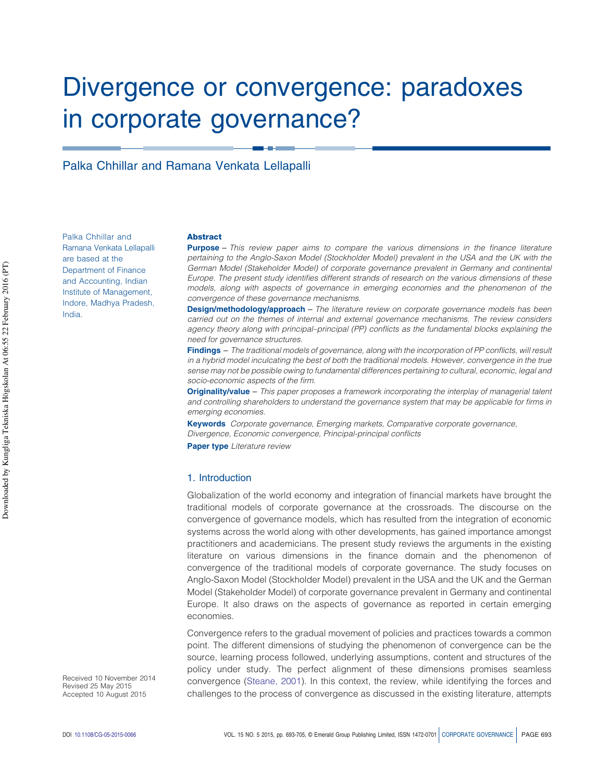# Divergence or convergence: paradoxes in corporate governance?

Palka Chhillar and Ramana Venkata Lellapalli

Palka Chhillar and Ramana Venkata Lellapalli are based at the Department of Finance and Accounting, Indian Institute of Management, Indore, Madhya Pradesh, India.

#### Abstract

**Purpose** - This review paper aims to compare the various dimensions in the finance literature pertaining to the Anglo-Saxon Model (Stockholder Model) prevalent in the USA and the UK with the German Model (Stakeholder Model) of corporate governance prevalent in Germany and continental Europe. The present study identifies different strands of research on the various dimensions of these models, along with aspects of governance in emerging economies and the phenomenon of the *convergence of these governance mechanisms.*

**Design/methodology/approach** – *The literature review on corporate governance models has been* carried out on the themes of internal and external governance mechanisms. The review considers agency theory along with principal-principal (PP) conflicts as the fundamental blocks explaining the *need for governance structures.*

**Findings** – The traditional models of governance, along with the incorporation of PP conflicts, will result in a hybrid model inculcating the best of both the traditional models. However, convergence in the true sense may not be possible owing to fundamental differences pertaining to cultural, economic, legal and *socio-economic aspects of the firm.*

Originality/value - This paper proposes a framework incorporating the interplay of managerial talent and controlling shareholders to understand the governance system that may be applicable for firms in *emerging economies.*

**Keywords** *Corporate governance, Emerging markets, Comparative corporate governance, Divergence, Economic convergence, Principal-principal conflicts*

**Paper type** *Literature review*

## 1. Introduction

Globalization of the world economy and integration of financial markets have brought the traditional models of corporate governance at the crossroads. The discourse on the convergence of governance models, which has resulted from the integration of economic systems across the world along with other developments, has gained importance amongst practitioners and academicians. The present study reviews the arguments in the existing literature on various dimensions in the finance domain and the phenomenon of convergence of the traditional models of corporate governance. The study focuses on Anglo-Saxon Model (Stockholder Model) prevalent in the USA and the UK and the German Model (Stakeholder Model) of corporate governance prevalent in Germany and continental Europe. It also draws on the aspects of governance as reported in certain emerging economies.

Convergence refers to the gradual movement of policies and practices towards a common point. The different dimensions of studying the phenomenon of convergence can be the source, learning process followed, underlying assumptions, content and structures of the policy under study. The perfect alignment of these dimensions promises seamless convergence (Steane, 2001). In this context, the review, while identifying the forces and challenges to the process of convergence as discussed in the existing literature, attempts

Received 10 November 2014 Revised 25 May 2015 Accepted 10 August 2015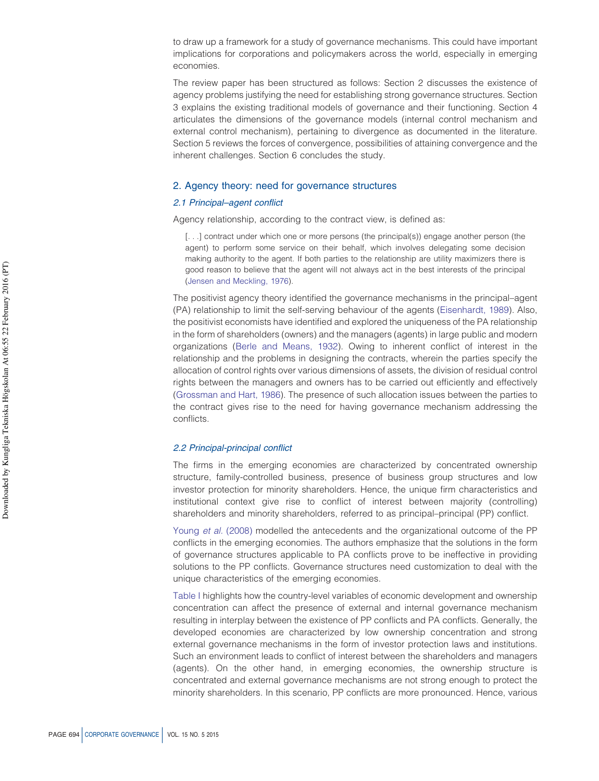to draw up a framework for a study of governance mechanisms. This could have important implications for corporations and policymakers across the world, especially in emerging economies.

The review paper has been structured as follows: Section 2 discusses the existence of agency problems justifying the need for establishing strong governance structures. Section 3 explains the existing traditional models of governance and their functioning. Section 4 articulates the dimensions of the governance models (internal control mechanism and external control mechanism), pertaining to divergence as documented in the literature. Section 5 reviews the forces of convergence, possibilities of attaining convergence and the inherent challenges. Section 6 concludes the study.

## 2. Agency theory: need for governance structures

#### 2.1 Principal–agent conflict

Agency relationship, according to the contract view, is defined as:

[...] contract under which one or more persons (the principal(s)) engage another person (the agent) to perform some service on their behalf, which involves delegating some decision making authority to the agent. If both parties to the relationship are utility maximizers there is good reason to believe that the agent will not always act in the best interests of the principal (Jensen and Meckling, 1976).

The positivist agency theory identified the governance mechanisms in the principal–agent (PA) relationship to limit the self-serving behaviour of the agents (Eisenhardt, 1989). Also, the positivist economists have identified and explored the uniqueness of the PA relationship in the form of shareholders (owners) and the managers (agents) in large public and modern organizations (Berle and Means, 1932). Owing to inherent conflict of interest in the relationship and the problems in designing the contracts, wherein the parties specify the allocation of control rights over various dimensions of assets, the division of residual control rights between the managers and owners has to be carried out efficiently and effectively (Grossman and Hart, 1986). The presence of such allocation issues between the parties to the contract gives rise to the need for having governance mechanism addressing the conflicts.

#### 2.2 Principal-principal conflict

The firms in the emerging economies are characterized by concentrated ownership structure, family-controlled business, presence of business group structures and low investor protection for minority shareholders. Hence, the unique firm characteristics and institutional context give rise to conflict of interest between majority (controlling) shareholders and minority shareholders, referred to as principal–principal (PP) conflict.

Young *et al.* (2008) modelled the antecedents and the organizational outcome of the PP conflicts in the emerging economies. The authors emphasize that the solutions in the form of governance structures applicable to PA conflicts prove to be ineffective in providing solutions to the PP conflicts. Governance structures need customization to deal with the unique characteristics of the emerging economies.

Table I highlights how the country-level variables of economic development and ownership concentration can affect the presence of external and internal governance mechanism resulting in interplay between the existence of PP conflicts and PA conflicts. Generally, the developed economies are characterized by low ownership concentration and strong external governance mechanisms in the form of investor protection laws and institutions. Such an environment leads to conflict of interest between the shareholders and managers (agents). On the other hand, in emerging economies, the ownership structure is concentrated and external governance mechanisms are not strong enough to protect the minority shareholders. In this scenario, PP conflicts are more pronounced. Hence, various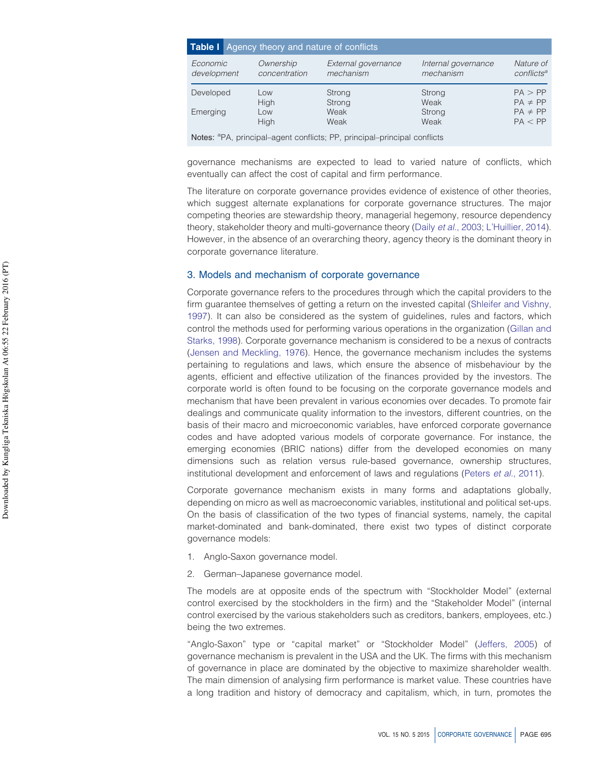| Table I Agency theory and nature of conflicts |                            |                                  |                                  |                                     |  |  |
|-----------------------------------------------|----------------------------|----------------------------------|----------------------------------|-------------------------------------|--|--|
| Economic<br>development                       | Ownership<br>concentration | External governance<br>mechanism | Internal governance<br>mechanism | Nature of<br>conflicts <sup>a</sup> |  |  |
| Developed                                     | Low<br>High                | Strong<br>Strong                 | Strong<br>Weak                   | PA > PP<br>$PA \neq PP$             |  |  |
| Emerging                                      | Low<br>High                | Weak<br>Weak                     | Strong<br>Weak                   | $PA \neq PP$<br>PA < PP             |  |  |

Notes: <sup>a</sup>PA, principal-agent conflicts; PP, principal-principal conflicts

governance mechanisms are expected to lead to varied nature of conflicts, which eventually can affect the cost of capital and firm performance.

The literature on corporate governance provides evidence of existence of other theories, which suggest alternate explanations for corporate governance structures. The major competing theories are stewardship theory, managerial hegemony, resource dependency theory, stakeholder theory and multi-governance theory (Daily *et al.*, 2003; L'Huillier, 2014). However, in the absence of an overarching theory, agency theory is the dominant theory in corporate governance literature.

#### 3. Models and mechanism of corporate governance

Corporate governance refers to the procedures through which the capital providers to the firm guarantee themselves of getting a return on the invested capital (Shleifer and Vishny, 1997). It can also be considered as the system of guidelines, rules and factors, which control the methods used for performing various operations in the organization (Gillan and Starks, 1998). Corporate governance mechanism is considered to be a nexus of contracts (Jensen and Meckling, 1976). Hence, the governance mechanism includes the systems pertaining to regulations and laws, which ensure the absence of misbehaviour by the agents, efficient and effective utilization of the finances provided by the investors. The corporate world is often found to be focusing on the corporate governance models and mechanism that have been prevalent in various economies over decades. To promote fair dealings and communicate quality information to the investors, different countries, on the basis of their macro and microeconomic variables, have enforced corporate governance codes and have adopted various models of corporate governance. For instance, the emerging economies (BRIC nations) differ from the developed economies on many dimensions such as relation versus rule-based governance, ownership structures, institutional development and enforcement of laws and regulations (Peters *et al.*, 2011).

Corporate governance mechanism exists in many forms and adaptations globally, depending on micro as well as macroeconomic variables, institutional and political set-ups. On the basis of classification of the two types of financial systems, namely, the capital market-dominated and bank-dominated, there exist two types of distinct corporate governance models:

- 1. Anglo-Saxon governance model.
- 2. German–Japanese governance model.

The models are at opposite ends of the spectrum with "Stockholder Model" (external control exercised by the stockholders in the firm) and the "Stakeholder Model" (internal control exercised by the various stakeholders such as creditors, bankers, employees, etc.) being the two extremes.

"Anglo-Saxon" type or "capital market" or "Stockholder Model" (Jeffers, 2005) of governance mechanism is prevalent in the USA and the UK. The firms with this mechanism of governance in place are dominated by the objective to maximize shareholder wealth. The main dimension of analysing firm performance is market value. These countries have a long tradition and history of democracy and capitalism, which, in turn, promotes the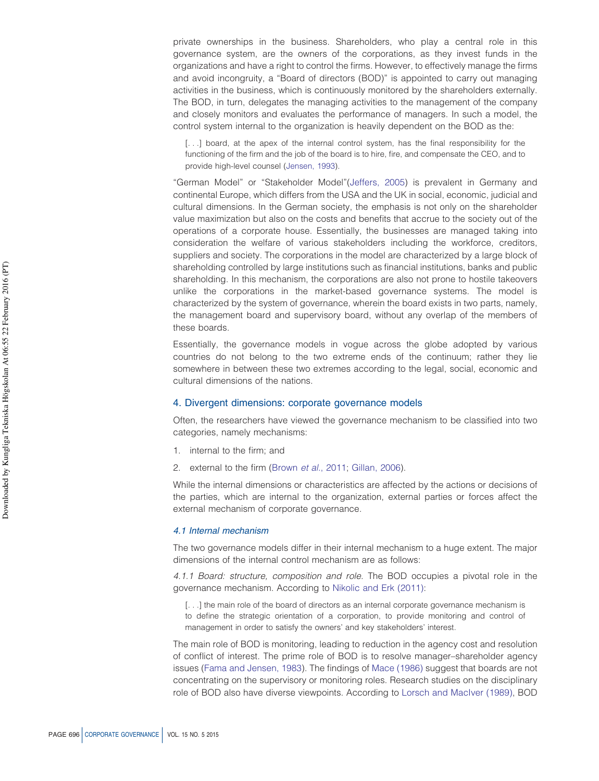private ownerships in the business. Shareholders, who play a central role in this governance system, are the owners of the corporations, as they invest funds in the organizations and have a right to control the firms. However, to effectively manage the firms and avoid incongruity, a "Board of directors (BOD)" is appointed to carry out managing activities in the business, which is continuously monitored by the shareholders externally. The BOD, in turn, delegates the managing activities to the management of the company and closely monitors and evaluates the performance of managers. In such a model, the control system internal to the organization is heavily dependent on the BOD as the:

[...] board, at the apex of the internal control system, has the final responsibility for the functioning of the firm and the job of the board is to hire, fire, and compensate the CEO, and to provide high-level counsel (Jensen, 1993).

"German Model" or "Stakeholder Model"(Jeffers, 2005) is prevalent in Germany and continental Europe, which differs from the USA and the UK in social, economic, judicial and cultural dimensions. In the German society, the emphasis is not only on the shareholder value maximization but also on the costs and benefits that accrue to the society out of the operations of a corporate house. Essentially, the businesses are managed taking into consideration the welfare of various stakeholders including the workforce, creditors, suppliers and society. The corporations in the model are characterized by a large block of shareholding controlled by large institutions such as financial institutions, banks and public shareholding. In this mechanism, the corporations are also not prone to hostile takeovers unlike the corporations in the market-based governance systems. The model is characterized by the system of governance, wherein the board exists in two parts, namely, the management board and supervisory board, without any overlap of the members of these boards.

Essentially, the governance models in vogue across the globe adopted by various countries do not belong to the two extreme ends of the continuum; rather they lie somewhere in between these two extremes according to the legal, social, economic and cultural dimensions of the nations.

#### 4. Divergent dimensions: corporate governance models

Often, the researchers have viewed the governance mechanism to be classified into two categories, namely mechanisms:

- 1. internal to the firm; and
- 2. external to the firm (Brown *et al.*, 2011; Gillan, 2006).

While the internal dimensions or characteristics are affected by the actions or decisions of the parties, which are internal to the organization, external parties or forces affect the external mechanism of corporate governance.

#### 4.1 Internal mechanism

The two governance models differ in their internal mechanism to a huge extent. The major dimensions of the internal control mechanism are as follows:

*4.1.1 Board: structure, composition and role.* The BOD occupies a pivotal role in the governance mechanism. According to Nikolic and Erk (2011):

[...] the main role of the board of directors as an internal corporate governance mechanism is to define the strategic orientation of a corporation, to provide monitoring and control of management in order to satisfy the owners' and key stakeholders' interest.

The main role of BOD is monitoring, leading to reduction in the agency cost and resolution of conflict of interest. The prime role of BOD is to resolve manager–shareholder agency issues (Fama and Jensen, 1983). The findings of Mace (1986) suggest that boards are not concentrating on the supervisory or monitoring roles. Research studies on the disciplinary role of BOD also have diverse viewpoints. According to Lorsch and MacIver (1989), BOD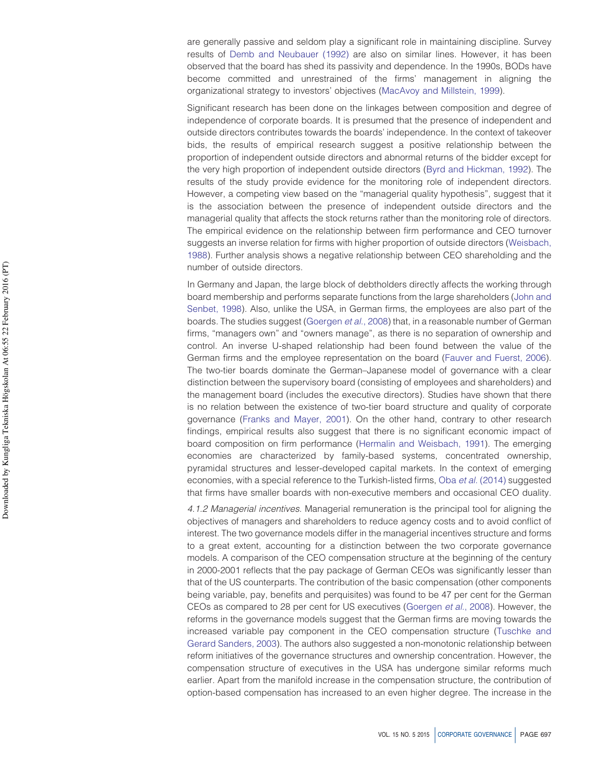are generally passive and seldom play a significant role in maintaining discipline. Survey results of Demb and Neubauer (1992) are also on similar lines. However, it has been observed that the board has shed its passivity and dependence. In the 1990s, BODs have become committed and unrestrained of the firms' management in aligning the organizational strategy to investors' objectives (MacAvoy and Millstein, 1999).

Significant research has been done on the linkages between composition and degree of independence of corporate boards. It is presumed that the presence of independent and outside directors contributes towards the boards' independence. In the context of takeover bids, the results of empirical research suggest a positive relationship between the proportion of independent outside directors and abnormal returns of the bidder except for the very high proportion of independent outside directors (Byrd and Hickman, 1992). The results of the study provide evidence for the monitoring role of independent directors. However, a competing view based on the "managerial quality hypothesis", suggest that it is the association between the presence of independent outside directors and the managerial quality that affects the stock returns rather than the monitoring role of directors. The empirical evidence on the relationship between firm performance and CEO turnover suggests an inverse relation for firms with higher proportion of outside directors (Weisbach, 1988). Further analysis shows a negative relationship between CEO shareholding and the number of outside directors.

In Germany and Japan, the large block of debtholders directly affects the working through board membership and performs separate functions from the large shareholders (John and Senbet, 1998). Also, unlike the USA, in German firms, the employees are also part of the boards. The studies suggest (Goergen *et al.*, 2008) that, in a reasonable number of German firms, "managers own" and "owners manage", as there is no separation of ownership and control. An inverse U-shaped relationship had been found between the value of the German firms and the employee representation on the board (Fauver and Fuerst, 2006). The two-tier boards dominate the German–Japanese model of governance with a clear distinction between the supervisory board (consisting of employees and shareholders) and the management board (includes the executive directors). Studies have shown that there is no relation between the existence of two-tier board structure and quality of corporate governance (Franks and Mayer, 2001). On the other hand, contrary to other research findings, empirical results also suggest that there is no significant economic impact of board composition on firm performance (Hermalin and Weisbach, 1991). The emerging economies are characterized by family-based systems, concentrated ownership, pyramidal structures and lesser-developed capital markets. In the context of emerging economies, with a special reference to the Turkish-listed firms, Oba *et al.* (2014) suggested that firms have smaller boards with non-executive members and occasional CEO duality.

*4.1.2 Managerial incentives.* Managerial remuneration is the principal tool for aligning the objectives of managers and shareholders to reduce agency costs and to avoid conflict of interest. The two governance models differ in the managerial incentives structure and forms to a great extent, accounting for a distinction between the two corporate governance models. A comparison of the CEO compensation structure at the beginning of the century in 2000-2001 reflects that the pay package of German CEOs was significantly lesser than that of the US counterparts. The contribution of the basic compensation (other components being variable, pay, benefits and perquisites) was found to be 47 per cent for the German CEOs as compared to 28 per cent for US executives (Goergen *et al.*, 2008). However, the reforms in the governance models suggest that the German firms are moving towards the increased variable pay component in the CEO compensation structure (Tuschke and Gerard Sanders, 2003). The authors also suggested a non-monotonic relationship between reform initiatives of the governance structures and ownership concentration. However, the compensation structure of executives in the USA has undergone similar reforms much earlier. Apart from the manifold increase in the compensation structure, the contribution of option-based compensation has increased to an even higher degree. The increase in the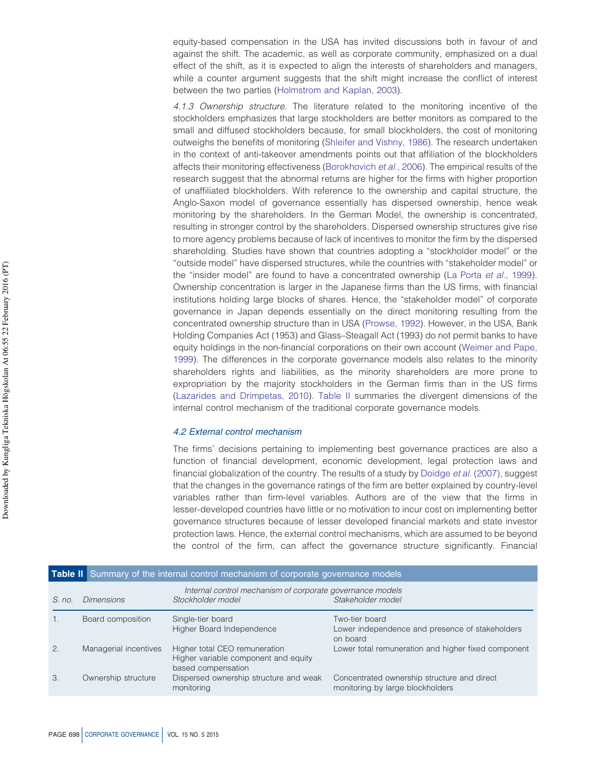equity-based compensation in the USA has invited discussions both in favour of and against the shift. The academic, as well as corporate community, emphasized on a dual effect of the shift, as it is expected to align the interests of shareholders and managers, while a counter argument suggests that the shift might increase the conflict of interest between the two parties (Holmstrom and Kaplan, 2003).

*4.1.3 Ownership structure.* The literature related to the monitoring incentive of the stockholders emphasizes that large stockholders are better monitors as compared to the small and diffused stockholders because, for small blockholders, the cost of monitoring outweighs the benefits of monitoring (Shleifer and Vishny, 1986). The research undertaken in the context of anti-takeover amendments points out that affiliation of the blockholders affects their monitoring effectiveness (Borokhovich *et al.*, 2006). The empirical results of the research suggest that the abnormal returns are higher for the firms with higher proportion of unaffiliated blockholders. With reference to the ownership and capital structure, the Anglo-Saxon model of governance essentially has dispersed ownership, hence weak monitoring by the shareholders. In the German Model, the ownership is concentrated, resulting in stronger control by the shareholders. Dispersed ownership structures give rise to more agency problems because of lack of incentives to monitor the firm by the dispersed shareholding. Studies have shown that countries adopting a "stockholder model" or the "outside model" have dispersed structures, while the countries with "stakeholder model" or the "insider model" are found to have a concentrated ownership (La Porta *et al.*, 1999). Ownership concentration is larger in the Japanese firms than the US firms, with financial institutions holding large blocks of shares. Hence, the "stakeholder model" of corporate governance in Japan depends essentially on the direct monitoring resulting from the concentrated ownership structure than in USA (Prowse, 1992). However, in the USA, Bank Holding Companies Act (1953) and Glass–Steagall Act (1993) do not permit banks to have equity holdings in the non-financial corporations on their own account (Weimer and Pape, 1999). The differences in the corporate governance models also relates to the minority shareholders rights and liabilities, as the minority shareholders are more prone to expropriation by the majority stockholders in the German firms than in the US firms (Lazarides and Drimpetas, 2010). Table II summaries the divergent dimensions of the internal control mechanism of the traditional corporate governance models.

#### 4.2 External control mechanism

The firms' decisions pertaining to implementing best governance practices are also a function of financial development, economic development, legal protection laws and financial globalization of the country. The results of a study by Doidge *et al.* (2007), suggest that the changes in the governance ratings of the firm are better explained by country-level variables rather than firm-level variables. Authors are of the view that the firms in lesser-developed countries have little or no motivation to incur cost on implementing better governance structures because of lesser developed financial markets and state investor protection laws. Hence, the external control mechanisms, which are assumed to be beyond the control of the firm, can affect the governance structure significantly. Financial

| <b>Table II</b> Summary of the internal control mechanism of corporate governance models |                       |                                                                                             |                                                                                 |  |  |
|------------------------------------------------------------------------------------------|-----------------------|---------------------------------------------------------------------------------------------|---------------------------------------------------------------------------------|--|--|
| S. no.                                                                                   | <b>Dimensions</b>     | Internal control mechanism of corporate governance models<br>Stockholder model              | Stakeholder model                                                               |  |  |
|                                                                                          | Board composition     | Single-tier board<br>Higher Board Independence                                              | Two-tier board<br>Lower independence and presence of stakeholders<br>on board   |  |  |
| 2.                                                                                       | Managerial incentives | Higher total CEO remuneration<br>Higher variable component and equity<br>based compensation | Lower total remuneration and higher fixed component                             |  |  |
| $\mathcal{S}$                                                                            | Ownership structure   | Dispersed ownership structure and weak<br>monitoring                                        | Concentrated ownership structure and direct<br>monitoring by large blockholders |  |  |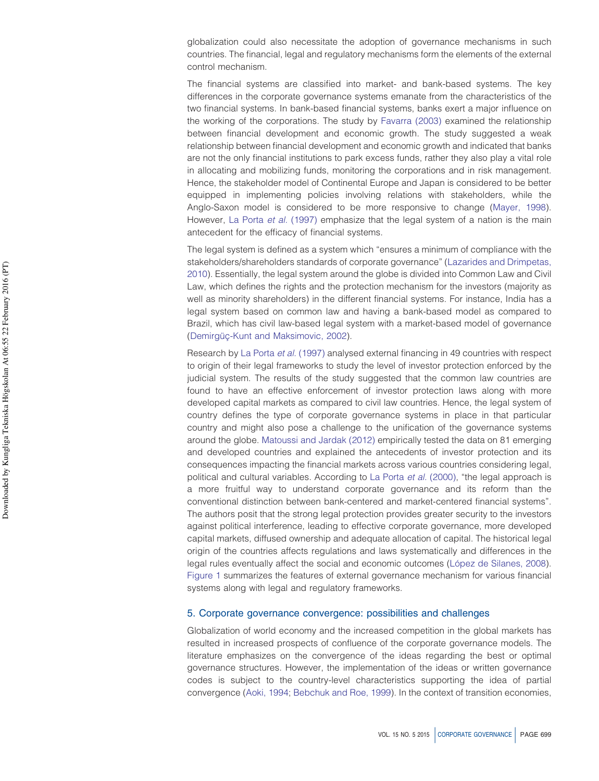globalization could also necessitate the adoption of governance mechanisms in such countries. The financial, legal and regulatory mechanisms form the elements of the external control mechanism.

The financial systems are classified into market- and bank-based systems. The key differences in the corporate governance systems emanate from the characteristics of the two financial systems. In bank-based financial systems, banks exert a major influence on the working of the corporations. The study by Favarra (2003) examined the relationship between financial development and economic growth. The study suggested a weak relationship between financial development and economic growth and indicated that banks are not the only financial institutions to park excess funds, rather they also play a vital role in allocating and mobilizing funds, monitoring the corporations and in risk management. Hence, the stakeholder model of Continental Europe and Japan is considered to be better equipped in implementing policies involving relations with stakeholders, while the Anglo-Saxon model is considered to be more responsive to change (Mayer, 1998). However, La Porta *et al.* (1997) emphasize that the legal system of a nation is the main antecedent for the efficacy of financial systems.

The legal system is defined as a system which "ensures a minimum of compliance with the stakeholders/shareholders standards of corporate governance" (Lazarides and Drimpetas, 2010). Essentially, the legal system around the globe is divided into Common Law and Civil Law, which defines the rights and the protection mechanism for the investors (majority as well as minority shareholders) in the different financial systems. For instance, India has a legal system based on common law and having a bank-based model as compared to Brazil, which has civil law-based legal system with a market-based model of governance (Demirgüç-Kunt and Maksimovic, 2002).

Research by La Porta *et al.* (1997) analysed external financing in 49 countries with respect to origin of their legal frameworks to study the level of investor protection enforced by the judicial system. The results of the study suggested that the common law countries are found to have an effective enforcement of investor protection laws along with more developed capital markets as compared to civil law countries. Hence, the legal system of country defines the type of corporate governance systems in place in that particular country and might also pose a challenge to the unification of the governance systems around the globe. Matoussi and Jardak (2012) empirically tested the data on 81 emerging and developed countries and explained the antecedents of investor protection and its consequences impacting the financial markets across various countries considering legal, political and cultural variables. According to La Porta *et al.* (2000), "the legal approach is a more fruitful way to understand corporate governance and its reform than the conventional distinction between bank-centered and market-centered financial systems". The authors posit that the strong legal protection provides greater security to the investors against political interference, leading to effective corporate governance, more developed capital markets, diffused ownership and adequate allocation of capital. The historical legal origin of the countries affects regulations and laws systematically and differences in the legal rules eventually affect the social and economic outcomes (López de Silanes, 2008). Figure 1 summarizes the features of external governance mechanism for various financial systems along with legal and regulatory frameworks.

#### 5. Corporate governance convergence: possibilities and challenges

Globalization of world economy and the increased competition in the global markets has resulted in increased prospects of confluence of the corporate governance models. The literature emphasizes on the convergence of the ideas regarding the best or optimal governance structures. However, the implementation of the ideas or written governance codes is subject to the country-level characteristics supporting the idea of partial convergence (Aoki, 1994; Bebchuk and Roe, 1999). In the context of transition economies,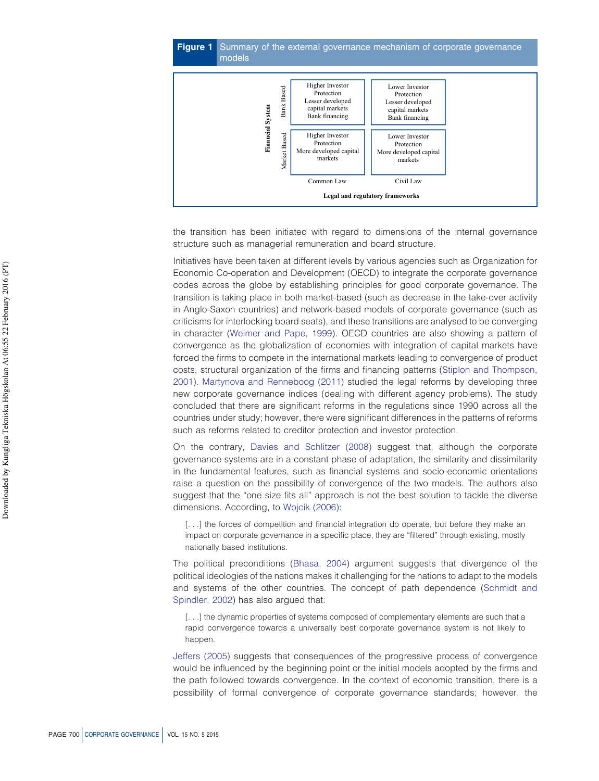

the transition has been initiated with regard to dimensions of the internal governance structure such as managerial remuneration and board structure.

Initiatives have been taken at different levels by various agencies such as Organization for Economic Co-operation and Development (OECD) to integrate the corporate governance codes across the globe by establishing principles for good corporate governance. The transition is taking place in both market-based (such as decrease in the take-over activity in Anglo-Saxon countries) and network-based models of corporate governance (such as criticisms for interlocking board seats), and these transitions are analysed to be converging in character (Weimer and Pape, 1999). OECD countries are also showing a pattern of convergence as the globalization of economies with integration of capital markets have forced the firms to compete in the international markets leading to convergence of product costs, structural organization of the firms and financing patterns (Stiplon and Thompson, 2001). Martynova and Renneboog (2011) studied the legal reforms by developing three new corporate governance indices (dealing with different agency problems). The study concluded that there are significant reforms in the regulations since 1990 across all the countries under study; however, there were significant differences in the patterns of reforms such as reforms related to creditor protection and investor protection.

On the contrary, Davies and Schlitzer (2008) suggest that, although the corporate governance systems are in a constant phase of adaptation, the similarity and dissimilarity in the fundamental features, such as financial systems and socio-economic orientations raise a question on the possibility of convergence of the two models. The authors also suggest that the "one size fits all" approach is not the best solution to tackle the diverse dimensions. According, to Wojcik (2006):

[...] the forces of competition and financial integration do operate, but before they make an impact on corporate governance in a specific place, they are "filtered" through existing, mostly nationally based institutions.

The political preconditions (Bhasa, 2004) argument suggests that divergence of the political ideologies of the nations makes it challenging for the nations to adapt to the models and systems of the other countries. The concept of path dependence (Schmidt and Spindler, 2002) has also argued that:

[...] the dynamic properties of systems composed of complementary elements are such that a rapid convergence towards a universally best corporate governance system is not likely to happen.

Jeffers (2005) suggests that consequences of the progressive process of convergence would be influenced by the beginning point or the initial models adopted by the firms and the path followed towards convergence. In the context of economic transition, there is a possibility of formal convergence of corporate governance standards; however, the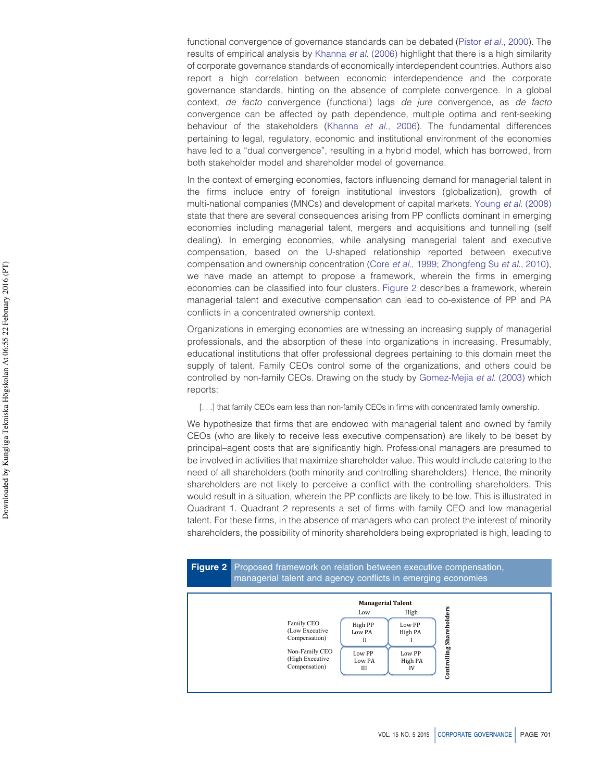functional convergence of governance standards can be debated (Pistor *et al.*, 2000). The results of empirical analysis by Khanna *et al.* (2006) highlight that there is a high similarity of corporate governance standards of economically interdependent countries. Authors also report a high correlation between economic interdependence and the corporate governance standards, hinting on the absence of complete convergence. In a global context, *de facto* convergence (functional) lags *de jure* convergence, as *de facto* convergence can be affected by path dependence, multiple optima and rent-seeking behaviour of the stakeholders (Khanna *et al.*, 2006). The fundamental differences pertaining to legal, regulatory, economic and institutional environment of the economies have led to a "dual convergence", resulting in a hybrid model, which has borrowed, from both stakeholder model and shareholder model of governance.

In the context of emerging economies, factors influencing demand for managerial talent in the firms include entry of foreign institutional investors (globalization), growth of multi-national companies (MNCs) and development of capital markets. Young *et al.* (2008) state that there are several consequences arising from PP conflicts dominant in emerging economies including managerial talent, mergers and acquisitions and tunnelling (self dealing). In emerging economies, while analysing managerial talent and executive compensation, based on the U-shaped relationship reported between executive compensation and ownership concentration (Core *et al.*, 1999; Zhongfeng Su *et al.*, 2010), we have made an attempt to propose a framework, wherein the firms in emerging economies can be classified into four clusters. Figure 2 describes a framework, wherein managerial talent and executive compensation can lead to co-existence of PP and PA conflicts in a concentrated ownership context.

Organizations in emerging economies are witnessing an increasing supply of managerial professionals, and the absorption of these into organizations in increasing. Presumably, educational institutions that offer professional degrees pertaining to this domain meet the supply of talent. Family CEOs control some of the organizations, and others could be controlled by non-family CEOs. Drawing on the study by Gomez-Mejia *et al.* (2003) which reports:

[...] that family CEOs earn less than non-family CEOs in firms with concentrated family ownership.

We hypothesize that firms that are endowed with managerial talent and owned by family CEOs (who are likely to receive less executive compensation) are likely to be beset by principal–agent costs that are significantly high. Professional managers are presumed to be involved in activities that maximize shareholder value. This would include catering to the need of all shareholders (both minority and controlling shareholders). Hence, the minority shareholders are not likely to perceive a conflict with the controlling shareholders. This would result in a situation, wherein the PP conflicts are likely to be low. This is illustrated in Quadrant 1. Quadrant 2 represents a set of firms with family CEO and low managerial talent. For these firms, in the absence of managers who can protect the interest of minority shareholders, the possibility of minority shareholders being expropriated is high, leading to

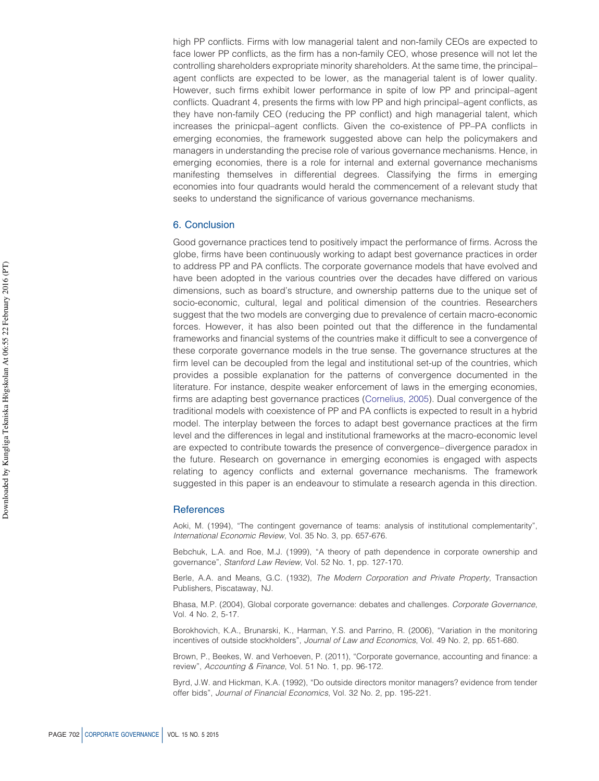high PP conflicts. Firms with low managerial talent and non-family CEOs are expected to face lower PP conflicts, as the firm has a non-family CEO, whose presence will not let the controlling shareholders expropriate minority shareholders. At the same time, the principal– agent conflicts are expected to be lower, as the managerial talent is of lower quality. However, such firms exhibit lower performance in spite of low PP and principal–agent conflicts. Quadrant 4, presents the firms with low PP and high principal–agent conflicts, as they have non-family CEO (reducing the PP conflict) and high managerial talent, which increases the prinicpal–agent conflicts. Given the co-existence of PP–PA conflicts in emerging economies, the framework suggested above can help the policymakers and managers in understanding the precise role of various governance mechanisms. Hence, in emerging economies, there is a role for internal and external governance mechanisms manifesting themselves in differential degrees. Classifying the firms in emerging economies into four quadrants would herald the commencement of a relevant study that seeks to understand the significance of various governance mechanisms.

## 6. Conclusion

Good governance practices tend to positively impact the performance of firms. Across the globe, firms have been continuously working to adapt best governance practices in order to address PP and PA conflicts. The corporate governance models that have evolved and have been adopted in the various countries over the decades have differed on various dimensions, such as board's structure, and ownership patterns due to the unique set of socio-economic, cultural, legal and political dimension of the countries. Researchers suggest that the two models are converging due to prevalence of certain macro-economic forces. However, it has also been pointed out that the difference in the fundamental frameworks and financial systems of the countries make it difficult to see a convergence of these corporate governance models in the true sense. The governance structures at the firm level can be decoupled from the legal and institutional set-up of the countries, which provides a possible explanation for the patterns of convergence documented in the literature. For instance, despite weaker enforcement of laws in the emerging economies, firms are adapting best governance practices (Cornelius, 2005). Dual convergence of the traditional models with coexistence of PP and PA conflicts is expected to result in a hybrid model. The interplay between the forces to adapt best governance practices at the firm level and the differences in legal and institutional frameworks at the macro-economic level are expected to contribute towards the presence of convergence–divergence paradox in the future. Research on governance in emerging economies is engaged with aspects relating to agency conflicts and external governance mechanisms. The framework suggested in this paper is an endeavour to stimulate a research agenda in this direction.

#### **References**

Aoki, M. (1994), "The contingent governance of teams: analysis of institutional complementarity", *International Economic Review*, Vol. 35 No. 3, pp. 657-676.

Bebchuk, L.A. and Roe, M.J. (1999), "A theory of path dependence in corporate ownership and governance", *Stanford Law Review*, Vol. 52 No. 1, pp. 127-170.

Berle, A.A. and Means, G.C. (1932), *The Modern Corporation and Private Property*, Transaction Publishers, Piscataway, NJ.

Bhasa, M.P. (2004), Global corporate governance: debates and challenges. *Corporate Governance*, Vol. 4 No. 2, 5-17.

Borokhovich, K.A., Brunarski, K., Harman, Y.S. and Parrino, R. (2006), "Variation in the monitoring incentives of outside stockholders", *Journal of Law and Economics*, Vol. 49 No. 2, pp. 651-680.

Brown, P., Beekes, W. and Verhoeven, P. (2011), "Corporate governance, accounting and finance: a review", *Accounting & Finance*, Vol. 51 No. 1, pp. 96-172.

Byrd, J.W. and Hickman, K.A. (1992), "Do outside directors monitor managers? evidence from tender offer bids", *Journal of Financial Economics*, Vol. 32 No. 2, pp. 195-221.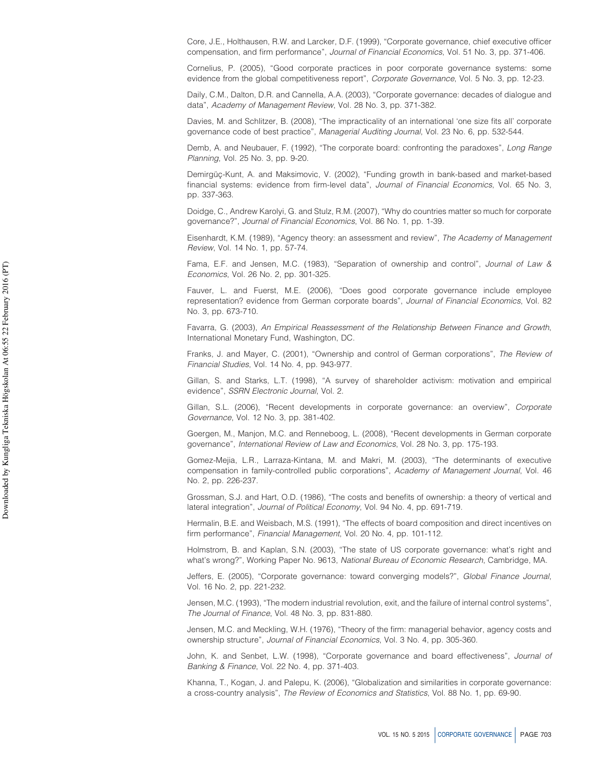Core, J.E., Holthausen, R.W. and Larcker, D.F. (1999), "Corporate governance, chief executive officer compensation, and firm performance", *Journal of Financial Economics*, Vol. 51 No. 3, pp. 371-406.

Cornelius, P. (2005), "Good corporate practices in poor corporate governance systems: some evidence from the global competitiveness report", *Corporate Governance*, Vol. 5 No. 3, pp. 12-23.

Daily, C.M., Dalton, D.R. and Cannella, A.A. (2003), "Corporate governance: decades of dialogue and data", *Academy of Management Review*, Vol. 28 No. 3, pp. 371-382.

Davies, M. and Schlitzer, B. (2008), "The impracticality of an international 'one size fits all' corporate governance code of best practice", *Managerial Auditing Journal*, Vol. 23 No. 6, pp. 532-544.

Demb, A. and Neubauer, F. (1992), "The corporate board: confronting the paradoxes", *Long Range Planning*, Vol. 25 No. 3, pp. 9-20.

Demirgüç-Kunt, A. and Maksimovic, V. (2002), "Funding growth in bank-based and market-based financial systems: evidence from firm-level data", *Journal of Financial Economics*, Vol. 65 No. 3, pp. 337-363.

Doidge, C., Andrew Karolyi, G. and Stulz, R.M. (2007), "Why do countries matter so much for corporate governance?", *Journal of Financial Economics*, Vol. 86 No. 1, pp. 1-39.

Eisenhardt, K.M. (1989), "Agency theory: an assessment and review", *The Academy of Management Review*, Vol. 14 No. 1, pp. 57-74.

Fama, E.F. and Jensen, M.C. (1983), "Separation of ownership and control", *Journal of Law & Economics*, Vol. 26 No. 2, pp. 301-325.

Fauver, L. and Fuerst, M.E. (2006), "Does good corporate governance include employee representation? evidence from German corporate boards", *Journal of Financial Economics*, Vol. 82 No. 3, pp. 673-710.

Favarra, G. (2003), An Empirical Reassessment of the Relationship Between Finance and Growth, International Monetary Fund, Washington, DC.

Franks, J. and Mayer, C. (2001), "Ownership and control of German corporations", *The Review of Financial Studies*, Vol. 14 No. 4, pp. 943-977.

Gillan, S. and Starks, L.T. (1998), "A survey of shareholder activism: motivation and empirical evidence", *SSRN Electronic Journal*, Vol. 2.

Gillan, S.L. (2006), "Recent developments in corporate governance: an overview", *Corporate Governance*, Vol. 12 No. 3, pp. 381-402.

Goergen, M., Manjon, M.C. and Renneboog, L. (2008), "Recent developments in German corporate governance", *International Review of Law and Economics*, Vol. 28 No. 3, pp. 175-193.

Gomez-Mejia, L.R., Larraza-Kintana, M. and Makri, M. (2003), "The determinants of executive compensation in family-controlled public corporations", *Academy of Management Journal*, Vol. 46 No. 2, pp. 226-237.

Grossman, S.J. and Hart, O.D. (1986), "The costs and benefits of ownership: a theory of vertical and lateral integration", *Journal of Political Economy*, Vol. 94 No. 4, pp. 691-719.

Hermalin, B.E. and Weisbach, M.S. (1991), "The effects of board composition and direct incentives on firm performance", *Financial Management*, Vol. 20 No. 4, pp. 101-112.

Holmstrom, B. and Kaplan, S.N. (2003), "The state of US corporate governance: what's right and what's wrong?", Working Paper No. 9613, *National Bureau of Economic Research*, Cambridge, MA.

Jeffers, E. (2005), "Corporate governance: toward converging models?", *Global Finance Journal*, Vol. 16 No. 2, pp. 221-232.

Jensen, M.C. (1993), "The modern industrial revolution, exit, and the failure of internal control systems", *The Journal of Finance*, Vol. 48 No. 3, pp. 831-880.

Jensen, M.C. and Meckling, W.H. (1976), "Theory of the firm: managerial behavior, agency costs and ownership structure", *Journal of Financial Economics*, Vol. 3 No. 4, pp. 305-360.

John, K. and Senbet, L.W. (1998), "Corporate governance and board effectiveness", *Journal of Banking & Finance*, Vol. 22 No. 4, pp. 371-403.

Khanna, T., Kogan, J. and Palepu, K. (2006), "Globalization and similarities in corporate governance: a cross-country analysis", *The Review of Economics and Statistics*, Vol. 88 No. 1, pp. 69-90.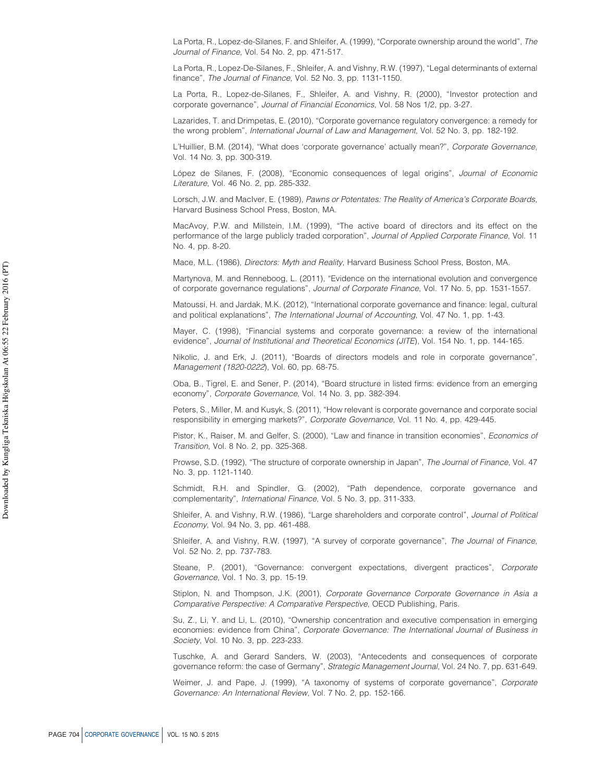La Porta, R., Lopez-de-Silanes, F. and Shleifer, A. (1999), "Corporate ownership around the world", *The Journal of Finance*, Vol. 54 No. 2, pp. 471-517.

La Porta, R., Lopez-De-Silanes, F., Shleifer, A. and Vishny, R.W. (1997), "Legal determinants of external finance", *The Journal of Finance*, Vol. 52 No. 3, pp. 1131-1150.

La Porta, R., Lopez-de-Silanes, F., Shleifer, A. and Vishny, R. (2000), "Investor protection and corporate governance", *Journal of Financial Economics*, Vol. 58 Nos 1/2, pp. 3-27.

Lazarides, T. and Drimpetas, E. (2010), "Corporate governance regulatory convergence: a remedy for the wrong problem", *International Journal of Law and Management*, Vol. 52 No. 3, pp. 182-192.

L'Huillier, B.M. (2014), "What does 'corporate governance' actually mean?", *Corporate Governance*, Vol. 14 No. 3, pp. 300-319.

López de Silanes, F. (2008), "Economic consequences of legal origins", *Journal of Economic Literature*, Vol. 46 No. 2, pp. 285-332.

Lorsch, J.W. and MacIver, E. (1989), *Pawns or Potentates: The Reality of America's Corporate Boards*, Harvard Business School Press, Boston, MA.

MacAvoy, P.W. and Millstein, I.M. (1999), "The active board of directors and its effect on the performance of the large publicly traded corporation", *Journal of Applied Corporate Finance*, Vol. 11 No. 4, pp. 8-20.

Mace, M.L. (1986), *Directors: Myth and Reality*, Harvard Business School Press, Boston, MA.

Martynova, M. and Renneboog, L. (2011), "Evidence on the international evolution and convergence of corporate governance regulations", *Journal of Corporate Finance*, Vol. 17 No. 5, pp. 1531-1557.

Matoussi, H. and Jardak, M.K. (2012), "International corporate governance and finance: legal, cultural and political explanations", *The International Journal of Accounting*, Vol. 47 No. 1, pp. 1-43.

Mayer, C. (1998), "Financial systems and corporate governance: a review of the international evidence", *Journal of Institutional and Theoretical Economics (JITE*), Vol. 154 No. 1, pp. 144-165.

Nikolic, J. and Erk, J. (2011), "Boards of directors models and role in corporate governance", *Management (1820-0222*), Vol. 60, pp. 68-75.

Oba, B., Tigrel, E. and Sener, P. (2014), "Board structure in listed firms: evidence from an emerging economy", *Corporate Governance*, Vol. 14 No. 3, pp. 382-394.

Peters, S., Miller, M. and Kusyk, S. (2011), "How relevant is corporate governance and corporate social responsibility in emerging markets?", *Corporate Governance*, Vol. 11 No. 4, pp. 429-445.

Pistor, K., Raiser, M. and Gelfer, S. (2000), "Law and finance in transition economies", *Economics of Transition*, Vol. 8 No. 2, pp. 325-368.

Prowse, S.D. (1992), "The structure of corporate ownership in Japan", *The Journal of Finance*, Vol. 47 No. 3, pp. 1121-1140.

Schmidt, R.H. and Spindler, G. (2002), "Path dependence, corporate governance and complementarity", *International Finance*, Vol. 5 No. 3, pp. 311-333.

Shleifer, A. and Vishny, R.W. (1986), "Large shareholders and corporate control", *Journal of Political Economy*, Vol. 94 No. 3, pp. 461-488.

Shleifer, A. and Vishny, R.W. (1997), "A survey of corporate governance", *The Journal of Finance*, Vol. 52 No. 2, pp. 737-783.

Steane, P. (2001), "Governance: convergent expectations, divergent practices", *Corporate Governance*, Vol. 1 No. 3, pp. 15-19.

Stiplon, N. and Thompson, J.K. (2001), *Corporate Governance Corporate Governance in Asia <sup>a</sup> Comparative Perspective: A Comparative Perspective*, OECD Publishing, Paris.

Su, Z., Li, Y. and Li, L. (2010), "Ownership concentration and executive compensation in emerging economies: evidence from China", *Corporate Governance: The International Journal of Business in Society*, Vol. 10 No. 3, pp. 223-233.

Tuschke, A. and Gerard Sanders, W. (2003), "Antecedents and consequences of corporate governance reform: the case of Germany", *Strategic Management Journal*, Vol. 24 No. 7, pp. 631-649.

Weimer, J. and Pape, J. (1999), "A taxonomy of systems of corporate governance", *Corporate Governance: An International Review*, Vol. 7 No. 2, pp. 152-166.